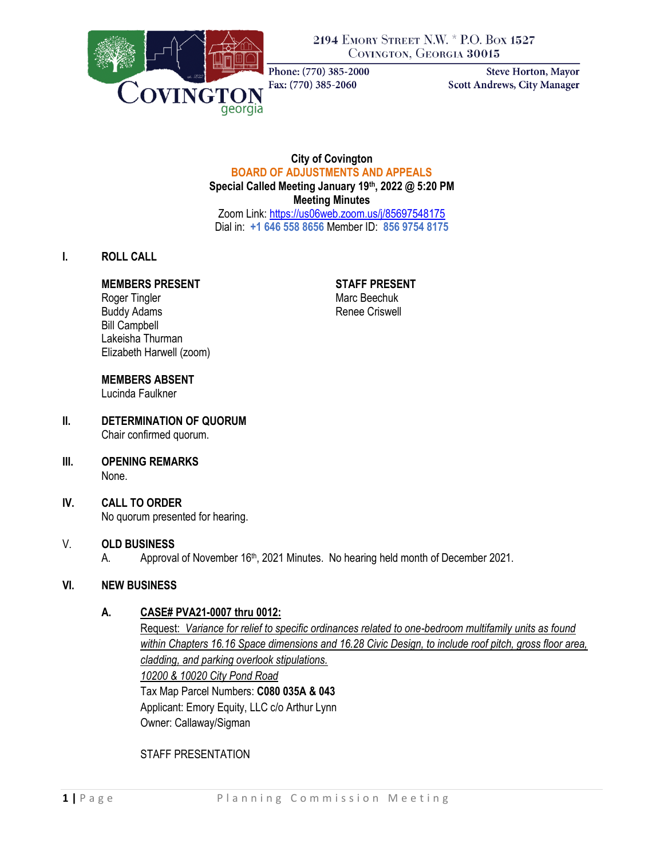

2194 EMORY STREET N.W. \* P.O. BOX 1527 COVINGTON, GEORGIA 30015

Phone: (770) 385-2000 Fax: (770) 385-2060

**Steve Horton, Mayor** Scott Andrews, City Manager

## **City of Covington BOARD OF ADJUSTMENTS AND APPEALS Special Called Meeting January 19th, 2022 @ 5:20 PM Meeting Minutes** Zoom Link[: https://us06web.zoom.us/j/85697548175](https://us06web.zoom.us/j/85697548175)

Dial in: **+1 646 558 8656** Member ID: **856 9754 8175**

## **I. ROLL CALL**

### **MEMBERS PRESENT STAFF PRESENT**

Roger Tingler Marc Beechuk Buddy Adams **Renee Criswell** Bill Campbell Lakeisha Thurman Elizabeth Harwell (zoom)

## **MEMBERS ABSENT**

Lucinda Faulkner

#### **II. DETERMINATION OF QUORUM** Chair confirmed quorum.

**III. OPENING REMARKS** None.

## **IV. CALL TO ORDER**

No quorum presented for hearing.

## V. **OLD BUSINESS**

A. Approval of November 16<sup>th</sup>, 2021 Minutes. No hearing held month of December 2021.

### **VI. NEW BUSINESS**

### **A. CASE# PVA21-0007 thru 0012:**

Request: *Variance for relief to specific ordinances related to one-bedroom multifamily units as found within Chapters 16.16 Space dimensions and 16.28 Civic Design, to include roof pitch, gross floor area, cladding, and parking overlook stipulations. 10200 & 10020 City Pond Road* Tax Map Parcel Numbers: **C080 035A & 043** Applicant: Emory Equity, LLC c/o Arthur Lynn Owner: Callaway/Sigman

STAFF PRESENTATION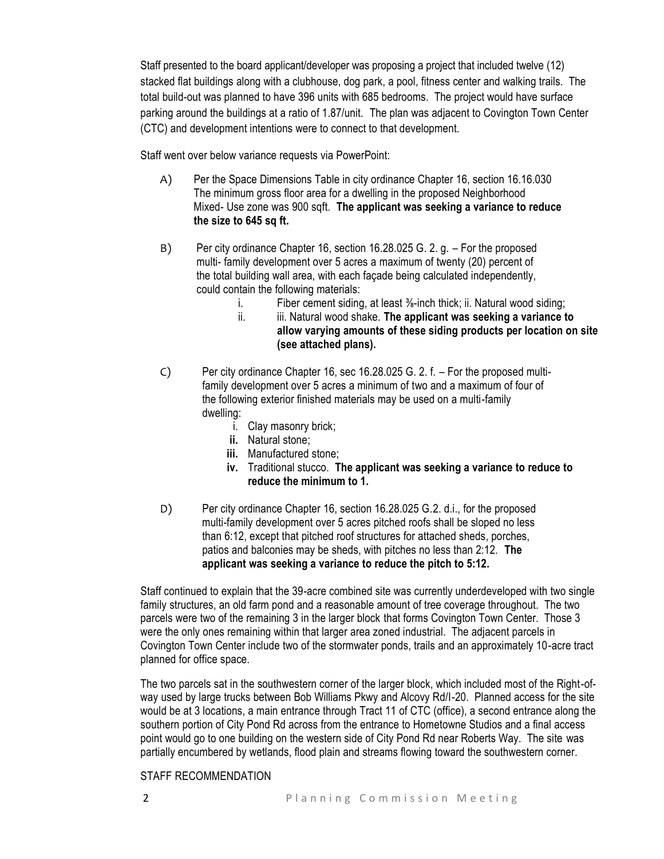Staff presented to the board applicant/developer was proposing a project that included twelve (12) stacked flat buildings along with a clubhouse, dog park, a pool, fitness center and walking trails. The total build-out was planned to have 396 units with 685 bedrooms. The project would have surface parking around the buildings at a ratio of 1.87/unit. The plan was adjacent to Covington Town Center (CTC) and development intentions were to connect to that development.

Staff went over below variance requests via PowerPoint:

- A) Per the Space Dimensions Table in city ordinance Chapter 16, section 16.16.030 The minimum gross floor area for a dwelling in the proposed Neighborhood Mixed- Use zone was 900 sqft. **The applicant was seeking a variance to reduce the size to 645 sq ft.**
- B) Per city ordinance Chapter 16, section 16.28.025 G. 2. g. For the proposed multi- family development over 5 acres a maximum of twenty (20) percent of the total building wall area, with each façade being calculated independently, could contain the following materials:
	- i. Fiber cement siding, at least <sup>3</sup>/<sub>8</sub>-inch thick; ii. Natural wood siding;
	- ii. iii. Natural wood shake. **The applicant was seeking a variance to allow varying amounts of these siding products per location on site (see attached plans).**
- C) Per city ordinance Chapter 16, sec 16.28.025 G. 2. f. For the proposed multi family development over 5 acres a minimum of two and a maximum of four of the following exterior finished materials may be used on a multi-family dwelling:
	- i. Clay masonry brick;
	- **ii.** Natural stone;
	- **iii.** Manufactured stone;
	- **iv.** Traditional stucco. **The applicant was seeking a variance to reduce to reduce the minimum to 1.**
- D) Per city ordinance Chapter 16, section 16.28.025 G.2. d.i., for the proposed multi-family development over 5 acres pitched roofs shall be sloped no less than 6:12, except that pitched roof structures for attached sheds, porches, patios and balconies may be sheds, with pitches no less than 2:12. **The applicant was seeking a variance to reduce the pitch to 5:12.**

Staff continued to explain that the 39-acre combined site was currently underdeveloped with two single family structures, an old farm pond and a reasonable amount of tree coverage throughout. The two parcels were two of the remaining 3 in the larger block that forms Covington Town Center. Those 3 were the only ones remaining within that larger area zoned industrial. The adjacent parcels in Covington Town Center include two of the stormwater ponds, trails and an approximately 10-acre tract planned for office space.

The two parcels sat in the southwestern corner of the larger block, which included most of the Right-ofway used by large trucks between Bob Williams Pkwy and Alcovy Rd/I-20. Planned access for the site would be at 3 locations, a main entrance through Tract 11 of CTC (office), a second entrance along the southern portion of City Pond Rd across from the entrance to Hometowne Studios and a final access point would go to one building on the western side of City Pond Rd near Roberts Way. The site was partially encumbered by wetlands, flood plain and streams flowing toward the southwestern corner.

### STAFF RECOMMENDATION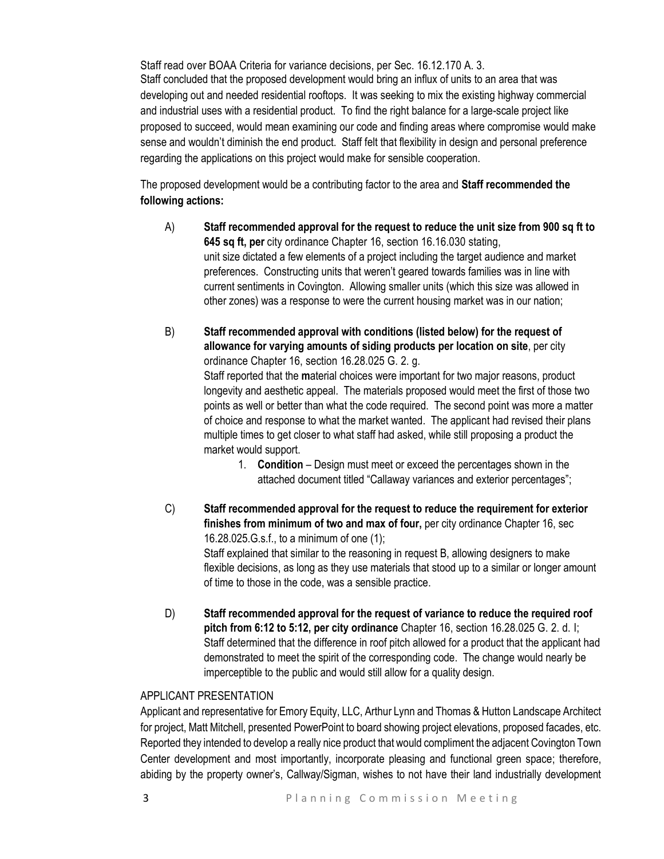Staff read over BOAA Criteria for variance decisions, per Sec. 16.12.170 A. 3. Staff concluded that the proposed development would bring an influx of units to an area that was developing out and needed residential rooftops. It was seeking to mix the existing highway commercial and industrial uses with a residential product. To find the right balance for a large-scale project like proposed to succeed, would mean examining our code and finding areas where compromise would make sense and wouldn't diminish the end product. Staff felt that flexibility in design and personal preference regarding the applications on this project would make for sensible cooperation.

The proposed development would be a contributing factor to the area and **Staff recommended the following actions:**

- A) **Staff recommended approval for the request to reduce the unit size from 900 sq ft to 645 sq ft, per** city ordinance Chapter 16, section 16.16.030 stating, unit size dictated a few elements of a project including the target audience and market preferences. Constructing units that weren't geared towards families was in line with current sentiments in Covington. Allowing smaller units (which this size was allowed in other zones) was a response to were the current housing market was in our nation;
- B) **Staff recommended approval with conditions (listed below) for the request of allowance for varying amounts of siding products per location on site**, per city ordinance Chapter 16, section 16.28.025 G. 2. g. Staff reported that the **m**aterial choices were important for two major reasons, product longevity and aesthetic appeal. The materials proposed would meet the first of those two points as well or better than what the code required. The second point was more a matter of choice and response to what the market wanted. The applicant had revised their plans multiple times to get closer to what staff had asked, while still proposing a product the market would support.
	- 1. **Condition**  Design must meet or exceed the percentages shown in the attached document titled "Callaway variances and exterior percentages";
- C) **Staff recommended approval for the request to reduce the requirement for exterior finishes from minimum of two and max of four,** per city ordinance Chapter 16, sec 16.28.025.G.s.f., to a minimum of one (1); Staff explained that similar to the reasoning in request B, allowing designers to make flexible decisions, as long as they use materials that stood up to a similar or longer amount of time to those in the code, was a sensible practice.
- D) **Staff recommended approval for the request of variance to reduce the required roof pitch from 6:12 to 5:12, per city ordinance** Chapter 16, section 16.28.025 G. 2. d. I; Staff determined that the difference in roof pitch allowed for a product that the applicant had demonstrated to meet the spirit of the corresponding code. The change would nearly be imperceptible to the public and would still allow for a quality design.

## APPLICANT PRESENTATION

Applicant and representative for Emory Equity, LLC, Arthur Lynn and Thomas & Hutton Landscape Architect for project, Matt Mitchell, presented PowerPoint to board showing project elevations, proposed facades, etc. Reported they intended to develop a really nice product that would compliment the adjacent Covington Town Center development and most importantly, incorporate pleasing and functional green space; therefore, abiding by the property owner's, Callway/Sigman, wishes to not have their land industrially development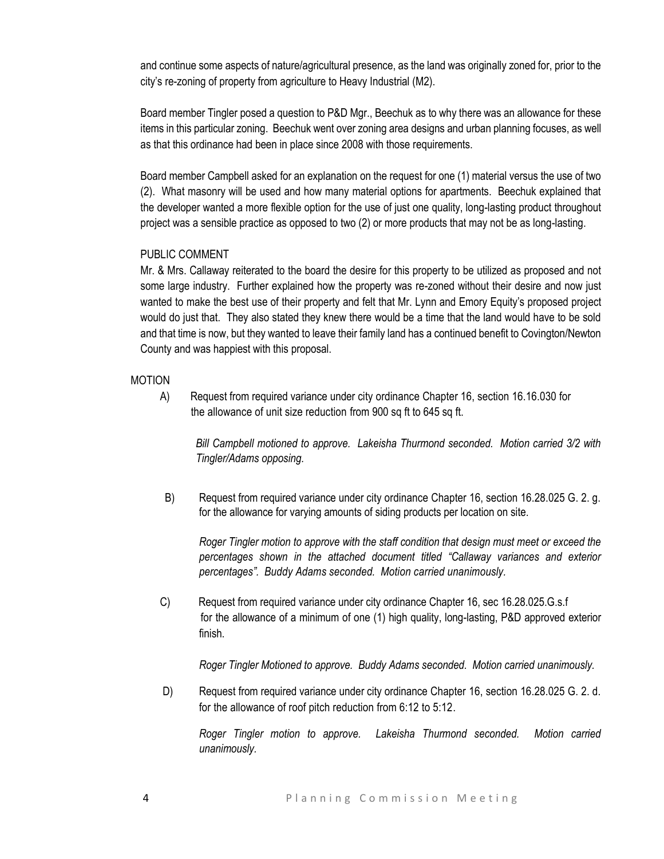and continue some aspects of nature/agricultural presence, as the land was originally zoned for, prior to the city's re-zoning of property from agriculture to Heavy Industrial (M2).

Board member Tingler posed a question to P&D Mgr., Beechuk as to why there was an allowance for these items in this particular zoning. Beechuk went over zoning area designs and urban planning focuses, as well as that this ordinance had been in place since 2008 with those requirements.

Board member Campbell asked for an explanation on the request for one (1) material versus the use of two (2). What masonry will be used and how many material options for apartments. Beechuk explained that the developer wanted a more flexible option for the use of just one quality, long-lasting product throughout project was a sensible practice as opposed to two (2) or more products that may not be as long-lasting.

## PUBLIC COMMENT

Mr. & Mrs. Callaway reiterated to the board the desire for this property to be utilized as proposed and not some large industry. Further explained how the property was re-zoned without their desire and now just wanted to make the best use of their property and felt that Mr. Lynn and Emory Equity's proposed project would do just that. They also stated they knew there would be a time that the land would have to be sold and that time is now, but they wanted to leave their family land has a continued benefit to Covington/Newton County and was happiest with this proposal.

## MOTION

A) Request from required variance under city ordinance Chapter 16, section 16.16.030 for the allowance of unit size reduction from 900 sq ft to 645 sq ft.

*Bill Campbell motioned to approve. Lakeisha Thurmond seconded. Motion carried 3/2 with Tingler/Adams opposing.* 

B) Request from required variance under city ordinance Chapter 16, section 16.28.025 G. 2. g. for the allowance for varying amounts of siding products per location on site.

*Roger Tingler motion to approve with the staff condition that design must meet or exceed the percentages shown in the attached document titled "Callaway variances and exterior percentages". Buddy Adams seconded. Motion carried unanimously.* 

C) Request from required variance under city ordinance Chapter 16, sec 16.28.025.G.s.f for the allowance of a minimum of one (1) high quality, long-lasting, P&D approved exterior finish.

*Roger Tingler Motioned to approve. Buddy Adams seconded. Motion carried unanimously.* 

D) Request from required variance under city ordinance Chapter 16, section 16.28.025 G. 2. d. for the allowance of roof pitch reduction from 6:12 to 5:12.

*Roger Tingler motion to approve. Lakeisha Thurmond seconded. Motion carried unanimously.*